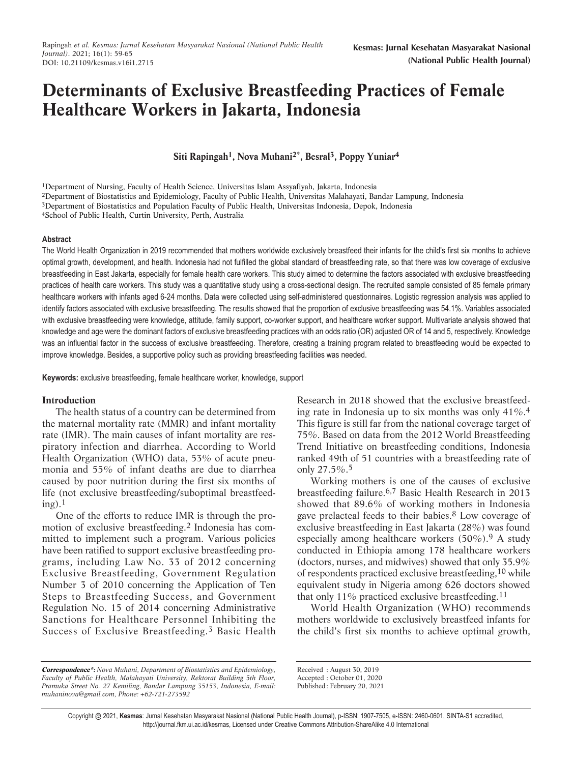# **Determinants of Exclusive Breastfeeding Practices of Female Healthcare Workers in Jakarta, Indonesia**

**Siti Rapingah1, Nova Muhani2\*, Besral3, Poppy Yuniar4**

1Department of Nursing, Faculty of Health Science, Universitas Islam Assyafiyah, Jakarta, Indonesia 2Department of Biostatistics and Epidemiology, Faculty of Public Health, Universitas Malahayati, Bandar Lampung, Indonesia 3Department of Biostatistics and Population Faculty of Public Health, Universitas Indonesia, Depok, Indonesia 4School of Public Health, Curtin University, Perth, Australia

## **Abstract**

The World Health Organization in 2019 recommended that mothers worldwide exclusively breastfeed their infants for the child's first six months to achieve optimal growth, development, and health. Indonesia had not fulfilled the global standard of breastfeeding rate, so that there was low coverage of exclusive breastfeeding in East Jakarta, especially for female health care workers. This study aimed to determine the factors associated with exclusive breastfeeding practices of health care workers. This study was a quantitative study using a cross-sectional design. The recruited sample consisted of 85 female primary healthcare workers with infants aged 6-24 months. Data were collected using self-administered questionnaires. Logistic regression analysis was applied to identify factors associated with exclusive breastfeeding. The results showed that the proportion of exclusive breastfeeding was 54.1%. Variables associated with exclusive breastfeeding were knowledge, attitude, family support, co-worker support, and healthcare worker support. Multivariate analysis showed that knowledge and age were the dominant factors of exclusive breastfeeding practices with an odds ratio (OR) adjusted OR of 14 and 5, respectively. Knowledge was an influential factor in the success of exclusive breastfeeding. Therefore, creating a training program related to breastfeeding would be expected to improve knowledge. Besides, a supportive policy such as providing breastfeeding facilities was needed.

**Keywords:** exclusive breastfeeding, female healthcare worker, knowledge, support

## **Introduction**

The health status of a country can be determined from the maternal mortality rate (MMR) and infant mortality rate (IMR). The main causes of infant mortality are respiratory infection and diarrhea. According to World Health Organization (WHO) data, 53% of acute pneumonia and 55% of infant deaths are due to diarrhea caused by poor nutrition during the first six months of life (not exclusive breastfeeding/suboptimal breastfeed $ing$ ).<sup>1</sup>

One of the efforts to reduce IMR is through the promotion of exclusive breastfeeding[.2](#page-5-0) Indonesia has committed to implement such a program. Various policies have been ratified to support exclusive breastfeeding programs, including Law No. 33 of 2012 concerning Exclusive Breastfeeding, Government Regulation Number 3 of 2010 concerning the Application of Ten Steps to Breastfeeding Success, and Government Regulation No. 15 of 2014 concerning Administrative Sanctions for Healthcare Personnel Inhibiting the Success of Exclusive Breastfeeding.[3](#page-5-0) Basic Health

Research in 2018 showed that the exclusive breastfeeding rate in Indonesia up to six months was only 41%.[4](#page-5-0) This figure is still far from the national coverage target of 75%. Based on data from the 2012 World Breastfeeding Trend Initiative on breastfeeding conditions, Indonesia ranked 49th of 51 countries with a breastfeeding rate of [only 27.5%.](#page-5-0)[5](#page-5-0)

Working mothers is one of the causes of exclusive breastfeeding failure.[6,7](#page-5-0) Basic Health Research in 2013 showed that 89.6% of working mothers in Indonesia gave prelacteal feeds to their babies[.8](#page-5-0) Low coverage of exclusive breastfeeding in East Jakarta (28%) was found especially among healthcare workers (50%).[9](#page-5-0) A study conducted in Ethiopia among 178 healthcare workers (doctors, nurses, and midwives) showed that only 35.9% of respondents practiced exclusive breastfeeding[,10](#page-5-0) while equivalent study in Nigeria among 626 doctors showed that only 11% practiced exclusive breastfeeding.<sup>11</sup>

World Health Organization (WHO) recommends mothers worldwide to exclusively breastfeed infants for the child's first six months to achieve optimal growth,

Received : August 30, 2019 Accepted : October 01, 2020

Published: February 20, 2021

**Correspondence\*:** *Nova Muhani, Department of Biostatistics and Epidemiology, Faculty of Public Health, Malahayati University, Rektorat Building 5th Floor, Pramuka Street No. 27 Kemiling, Bandar Lampung 35153, Indonesia, E-mail: muhaninova@gmail.com, Phone: +62-721-273592*

Copyright @ 2021, **Kesmas**: Jurnal Kesehatan Masyarakat Nasional (National Public Health Journal), p-ISSN: 1907-7505, e-ISSN: 2460-0601, SINTA-S1 accredited, http://journal.fkm.ui.ac.id/kesmas, Licensed under Creative Commons Attribution-ShareAlike 4.0 International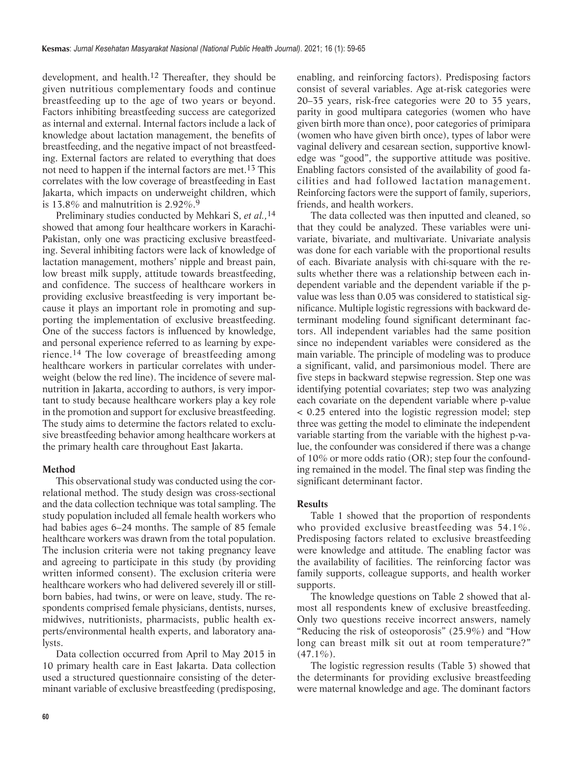development, and health[.12](#page-5-0) Thereafter, they should be given nutritious complementary foods and continue breastfeeding up to the age of two years or beyond. Factors inhibiting breastfeeding success are categorized as internal and external. Internal factors include a lack of knowledge about lactation management, the benefits of breastfeeding, and the negative impact of not breastfeeding. External factors are related to everything that does not need to happen if the internal factors are met.[13](#page-5-0) This correlates with the low coverage of breastfeeding in East Jakarta, which impacts on underweight children, which is 13.8% and malnutrition is  $2.92\%$  $2.92\%$  $2.92\%$ <sup>9</sup>

Preliminary studies conducted by Mehkari S, *et al.,*[14](#page-5-0) showed that among four healthcare workers in Karachi-Pakistan, only one was practicing exclusive breastfeeding. Several inhibiting factors were lack of knowledge of lactation management, mothers' nipple and breast pain, low breast milk supply, attitude towards breastfeeding, and confidence. The success of healthcare workers in providing exclusive breastfeeding is very important because it plays an important role in promoting and supporting the implementation of exclusive breastfeeding. One of the success factors is influenced by knowledge, and personal experience referred to as learning by expe[rience.](#page-5-0)[14](#page-5-0) The low coverage of breastfeeding among healthcare workers in particular correlates with underweight (below the red line). The incidence of severe malnutrition in Jakarta, according to authors, is very important to study because healthcare workers play a key role in the promotion and support for exclusive breastfeeding. The study aims to determine the factors related to exclusive breastfeeding behavior among healthcare workers at the primary health care throughout East Jakarta.

## **Method**

This observational study was conducted using the correlational method. The study design was cross-sectional and the data collection technique was total sampling. The study population included all female health workers who had babies ages 6–24 months. The sample of 85 female healthcare workers was drawn from the total population. The inclusion criteria were not taking pregnancy leave and agreeing to participate in this study (by providing written informed consent). The exclusion criteria were healthcare workers who had delivered severely ill or stillborn babies, had twins, or were on leave, study. The respondents comprised female physicians, dentists, nurses, midwives, nutritionists, pharmacists, public health experts/environmental health experts, and laboratory analysts.

Data collection occurred from April to May 2015 in 10 primary health care in East Jakarta. Data collection used a structured questionnaire consisting of the determinant variable of exclusive breastfeeding (predisposing, enabling, and reinforcing factors). Predisposing factors consist of several variables. Age at-risk categories were 20–35 years, risk-free categories were 20 to 35 years, parity in good multipara categories (women who have given birth more than once), poor categories of primipara (women who have given birth once), types of labor were vaginal delivery and cesarean section, supportive knowledge was "good", the supportive attitude was positive. Enabling factors consisted of the availability of good facilities and had followed lactation management. Reinforcing factors were the support of family, superiors, friends, and health workers.

The data collected was then inputted and cleaned, so that they could be analyzed. These variables were univariate, bivariate, and multivariate. Univariate analysis was done for each variable with the proportional results of each. Bivariate analysis with chi-square with the results whether there was a relationship between each independent variable and the dependent variable if the pvalue was less than 0.05 was considered to statistical significance. Multiple logistic regressions with backward determinant modeling found significant determinant factors. All independent variables had the same position since no independent variables were considered as the main variable. The principle of modeling was to produce a significant, valid, and parsimonious model. There are five steps in backward stepwise regression. Step one was identifying potential covariates; step two was analyzing each covariate on the dependent variable where p-value < 0.25 entered into the logistic regression model; step three was getting the model to eliminate the independent variable starting from the variable with the highest p-value, the confounder was considered if there was a change of 10% or more odds ratio (OR); step four the confounding remained in the model. The final step was finding the significant determinant factor.

## **Results**

[Table 1](#page-2-0) showed that the proportion of respondents who provided exclusive breastfeeding was 54.1%. Predisposing factors related to exclusive breastfeeding were knowledge and attitude. The enabling factor was the availability of facilities. The reinforcing factor was family supports, colleague supports, and health worker supports.

The knowledge questions on [Table 2](#page-2-0) showed that almost all respondents knew of exclusive breastfeeding. Only two questions receive incorrect answers, namely "Reducing the risk of osteoporosis" (25.9%) and "How long can breast milk sit out at room temperature?"  $(47.1\%)$ .

The logistic regression results [\(Table 3\)](#page-3-0) showed that the determinants for providing exclusive breastfeeding were maternal knowledge and age. The dominant factors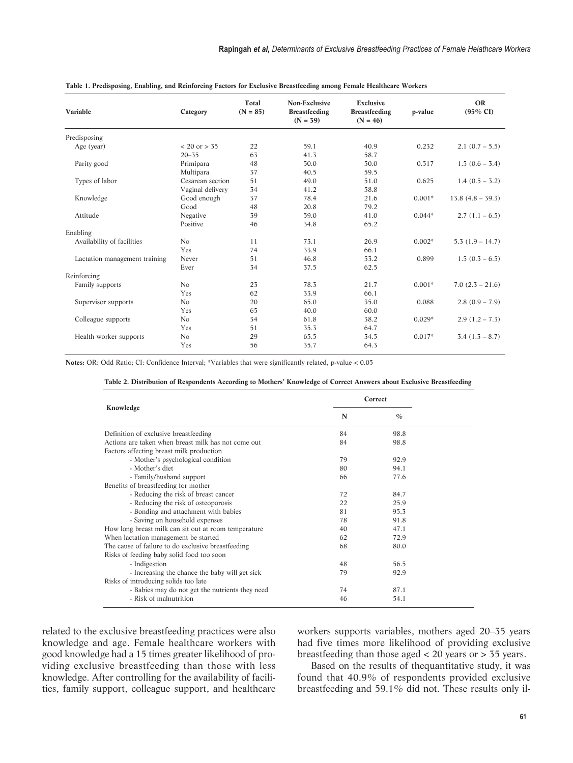| Variable                      | Category         | Total<br>$(N = 85)$ | Non-Exclusive<br><b>Breastfeeding</b><br>$(N = 39)$ | Exclusive<br><b>Breastfeeding</b><br>$(N = 46)$ | p-value  | <b>OR</b><br>$(95\% \text{ CI})$ |
|-------------------------------|------------------|---------------------|-----------------------------------------------------|-------------------------------------------------|----------|----------------------------------|
| Predisposing                  |                  |                     |                                                     |                                                 |          |                                  |
| Age (year)                    | $< 20$ or $> 35$ | 22                  | 59.1                                                | 40.9                                            | 0.232    | $2.1 (0.7 - 5.5)$                |
|                               | $20 - 35$        | 63                  | 41.3                                                | 58.7                                            |          |                                  |
| Parity good                   | Primipara        | 48                  | 50.0                                                | 50.0                                            | 0.517    | $1.5(0.6 - 3.4)$                 |
|                               | Multipara        | 37                  | 40.5                                                | 59.5                                            |          |                                  |
| Types of labor                | Cesarean section | 51                  | 49.0                                                | 51.0                                            | 0.625    | $1.4(0.5 - 3.2)$                 |
|                               | Vaginal delivery | 34                  | 41.2                                                | 58.8                                            |          |                                  |
| Knowledge                     | Good enough      | 37                  | 78.4                                                | 21.6                                            | $0.001*$ | $13.8(4.8 - 39.3)$               |
|                               | Good             | 48                  | 20.8                                                | 79.2                                            |          |                                  |
| Attitude                      | Negative         | 39                  | 59.0                                                | 41.0                                            | $0.044*$ | $2.7(1.1-6.5)$                   |
|                               | Positive         | 46                  | 34.8                                                | 65.2                                            |          |                                  |
| Enabling                      |                  |                     |                                                     |                                                 |          |                                  |
| Availability of facilities    | No               | 11                  | 73.1                                                | 26.9                                            | $0.002*$ | $5.3(1.9 - 14.7)$                |
|                               | Yes              | 74                  | 33.9                                                | 66.1                                            |          |                                  |
| Lactation management training | Never            | 51                  | 46.8                                                | 53.2                                            | 0.899    | $1.5(0.3 - 6.5)$                 |
|                               | Ever             | 34                  | 37.5                                                | 62.5                                            |          |                                  |
| Reinforcing                   |                  |                     |                                                     |                                                 |          |                                  |
| Family supports               | N <sub>o</sub>   | 23                  | 78.3                                                | 21.7                                            | $0.001*$ | $7.0(2.5 - 21.6)$                |
|                               | Yes              | 62                  | 33.9                                                | 66.1                                            |          |                                  |
| Supervisor supports           | No               | 20                  | 65.0                                                | 35.0                                            | 0.088    | $2.8(0.9 - 7.9)$                 |
|                               | Yes              | 65                  | 40.0                                                | 60.0                                            |          |                                  |
| Colleague supports            | N <sub>o</sub>   | 34                  | 61.8                                                | 38.2                                            | $0.029*$ | $2.9(1.2 - 7.3)$                 |
|                               | Yes              | 51                  | 35.3                                                | 64.7                                            |          |                                  |
| Health worker supports        | N <sub>o</sub>   | 29                  | 65.5                                                | 34.5                                            | $0.017*$ | $3.4(1.3 - 8.7)$                 |
|                               | Yes              | 56                  | 35.7                                                | 64.3                                            |          |                                  |

<span id="page-2-0"></span>

**Notes:** OR: Odd Ratio; CI: Confidence Interval; \*Variables that were significantly related, p-value < 0.05

|                                                      | Correct |               |  |
|------------------------------------------------------|---------|---------------|--|
| Knowledge                                            | N       | $\frac{O}{O}$ |  |
| Definition of exclusive breastfeeding                | 84      | 98.8          |  |
| Actions are taken when breast milk has not come out  | 84      | 98.8          |  |
| Factors affecting breast milk production             |         |               |  |
| - Mother's psychological condition                   | 79      | 92.9          |  |
| - Mother's diet                                      | 80      | 94.1          |  |
| - Family/husband support                             | 66      | 77.6          |  |
| Benefits of breastfeeding for mother                 |         |               |  |
| - Reducing the risk of breast cancer                 | 72      | 84.7          |  |
| - Reducing the risk of osteoporosis                  | 22      | 25.9          |  |
| - Bonding and attachment with babies                 | 81      | 95.3          |  |
| - Saving on household expenses                       | 78      | 91.8          |  |
| How long breast milk can sit out at room temperature | 40      | 47.1          |  |
| When lactation management be started                 | 62      | 72.9          |  |
| The cause of failure to do exclusive breastfeeding   | 68      | 80.0          |  |
| Risks of feeding baby solid food too soon            |         |               |  |
| - Indigestion                                        | 48      | 56.5          |  |
| - Increasing the chance the baby will get sick       | 79      | 92.9          |  |
| Risks of introducing solids too late                 |         |               |  |
| - Babies may do not get the nutrients they need      | 74      | 87.1          |  |
| - Risk of malnutrition                               | 46      | 54.1          |  |

related to the exclusive breastfeeding practices were also knowledge and age. Female healthcare workers with good knowledge had a 15 times greater likelihood of providing exclusive breastfeeding than those with less knowledge. After controlling for the availability of facilities, family support, colleague support, and healthcare workers supports variables, mothers aged 20–35 years had five times more likelihood of providing exclusive breastfeeding than those aged < 20 years or > 35 years.

Based on the results of thequantitative study, it was found that 40.9% of respondents provided exclusive breastfeeding and 59.1% did not. These results only il-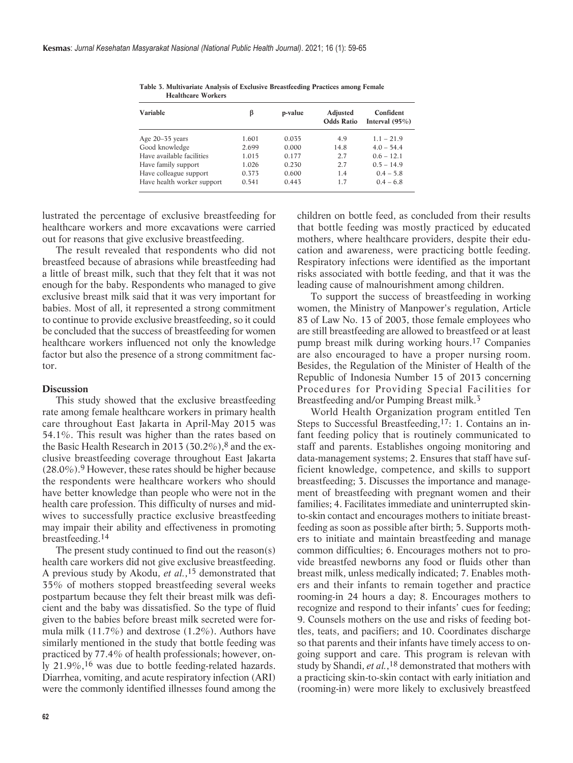| Variable                   | β     | p-value | Adjusted<br><b>Odds Ratio</b> | Confident<br>Interval $(95\%)$ |
|----------------------------|-------|---------|-------------------------------|--------------------------------|
| Age 20-35 years            | 1.601 | 0.035   | 4.9                           | $1.1 - 21.9$                   |
| Good knowledge             | 2.699 | 0.000   | 14.8                          | $4.0 - 54.4$                   |
| Have available facilities  | 1.015 | 0.177   | 2.7                           | $0.6 - 12.1$                   |
| Have family support        | 1.026 | 0.230   | 2.7                           | $0.5 - 14.9$                   |
| Have colleague support     | 0.373 | 0.600   | 1.4                           | $0.4 - 5.8$                    |
| Have health worker support | 0.541 | 0.443   | 1.7                           | $0.4 - 6.8$                    |

<span id="page-3-0"></span>**Table 3. Multivariate Analysis of Exclusive Breastfeeding Practices among Female Healthcare Workers**

lustrated the percentage of exclusive breastfeeding for healthcare workers and more excavations were carried out for reasons that give exclusive breastfeeding.

The result revealed that respondents who did not breastfeed because of abrasions while breastfeeding had a little of breast milk, such that they felt that it was not enough for the baby. Respondents who managed to give exclusive breast milk said that it was very important for babies. Most of all, it represented a strong commitment to continue to provide exclusive breastfeeding, so it could be concluded that the success of breastfeeding for women healthcare workers influenced not only the knowledge factor but also the presence of a strong commitment factor.

#### **Discussion**

This study showed that the exclusive breastfeeding rate among female healthcare workers in primary health care throughout East Jakarta in April-May 2015 was 54.1%. This result was higher than the rates based on the Basic Health Research in 2013 (30.2%), $8$  and the exclusive breastfeeding co verage throughout East Jakarta  $(28.0\%)$ .<sup>9</sup> However, these rates should be higher because the respondents were healthcare workers who should have better knowledge than people who were not in the health care profession. This difficulty of nurses and midwives to successfully practice exclusive breastfeeding may impair their ability and effectiveness in promoting breastfeeding.[14](#page-5-0)

The present study continued to find out the reason(s) health care workers did not give exclusive breastfeeding. A previous study by Akodu, *et al.*[,15](#page-5-0) demonstrated that 35% of mothers stopped breastfeeding several weeks postpartum because they felt their breast milk was deficient and the baby was dissatisfied. So the type of fluid given to the babies before breast milk secreted were formula milk (11.7%) and dextrose (1.2%). Authors have similarly mentioned in the study that bottle feeding was practiced by 77.4% of health professionals; however, only 21.9%,[16](#page-5-0) was due to bottle feeding-related hazards. Diarrhea, vomiting, and acute respiratory infection (ARI) were the commonly identified illnesses found among the children on bottle feed, as concluded from their results that bottle feeding was mostly practiced by educated mothers, where healthcare providers, despite their education and awareness, were practicing bottle feeding. Respiratory infections were identified as the important risks associated with bottle feeding, and that it was the leading cause of malnourishment among children.

To support the success of breastfeeding in working women, the Ministry of Manpower's regulation, Article 83 of Law No. 13 of 2003, those female employees who are still breastfeeding are allowed to breastfeed or at least pump breast milk during working hours.[17](#page-6-0) Companies are also encouraged to have a proper nursing room. Besides, the Regulation of the Minister of Health of the Republic of Indonesia Number 15 of 2013 concerning Procedures for Providing Special Facilities for Breastfeeding and/or Pumping Breast milk[.3](#page-5-0)

World Health Organization program entitled Ten Steps to Successful Breastfeeding,[17:](#page-6-0) 1. Contains an infant feeding policy that is routinely communicated to staff and parents. Establishes ongoing monitoring and data-management systems; 2. Ensures that staff have sufficient knowledge, competence, and skills to support breastfeeding; 3. Discusses the importance and management of breastfeeding with pregnant women and their families; 4. Facilitates immediate and uninterrupted skinto-skin contact and encourages mothers to initiate breastfeeding as soon as possible after birth; 5. Supports mothers to initiate and maintain breastfeeding and manage common difficulties; 6. Encourages mothers not to provide breastfed newborns any food or fluids other than breast milk, unless medically indicated; 7. Enables mothers and their infants to remain together and practice rooming-in 24 hours a day; 8. Encourages mothers to recognize and respond to their infants' cues for feeding; 9. Counsels mothers on the use and risks of feeding bottles, teats, and pacifiers; and 10. Coordinates discharge so that parents and their infants have timely access to ongoing support and care. This program is relevan with study by Shandi, *et al.*[,18](#page-6-0) demonstrated that mothers with a practicing skin-to-skin contact with early initiation and (rooming-in) were more likely to exclusively breastfeed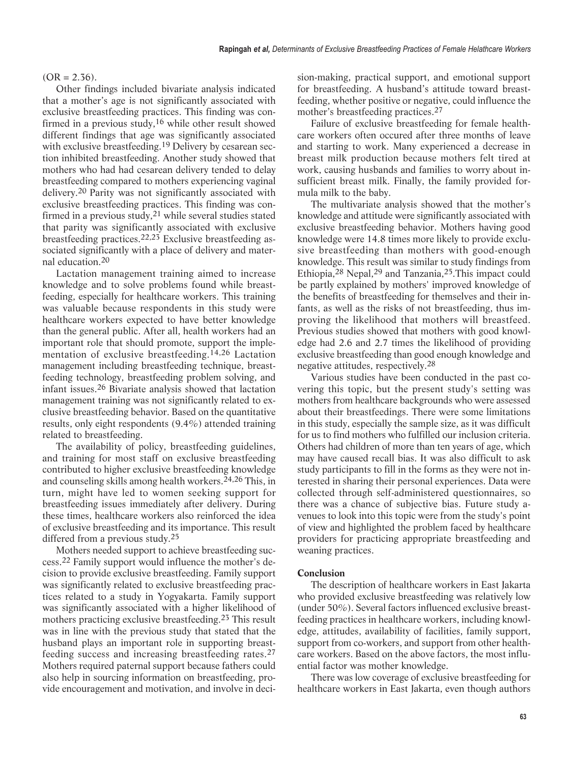## $(OR = 2.36)$ .

Other findings included bivariate analysis indicated that a mother's age is not significantly associated with exclusive breastfeeding practices. This finding was confirmed in a previous study,[16](#page-5-0) while other result showed different findings that age was significantly associated with exclusive breastfeeding.<sup>[19](#page-6-0)</sup> Delivery by cesarean section inhibited breastfeeding. Another study showed that mothers who had had cesarean delivery tended to delay breastfeeding compared to mothers experiencing vaginal delivery.<sup>[20](#page-6-0)</sup> Parity was not significantly associated with exclusive breastfeeding practices. This finding was confirmed in a previous study,[21](#page-6-0) while several studies stated that parity was significantly associated with exclusive breastfeeding practices.[22,23](#page-6-0) Exclusive breastfeeding associated significantly with a place of delivery and maternal education.[20](#page-6-0)

Lactation management training aimed to increase knowledge and to solve problems found while breastfeeding, especially for healthcare workers. This training was valuable because respondents in this study were healthcare workers expected to have better knowledge than the general public. After all, health workers had an important role that should promote, support the implementation of exclusive breastfeeding.[14,](#page-5-0)[26](#page-6-0) Lactation management including breastfeeding technique, breastfeeding technology, breastfeeding problem solving, and infant issues[.26](#page-6-0) Bivariate analysis showed that lactation management training was not significantly related to exclusive breastfeeding behavior. Based on the quantitative results, only eight respondents (9.4%) attended training related to breastfeeding.

The availability of policy, breastfeeding guidelines, and training for most staff on exclusive breastfeeding contributed to higher exclusive breastfeeding knowledge and counseling skills among health workers.[24,26](#page-6-0) This, in turn, might have led to women seeking support for breastfeeding issues immediately after delivery. During these times, healthcare workers also reinforced the idea of exclusive breastfeeding and its importance. This result differed from a previous study[.25](#page-6-0)

Mothers needed support to achieve breastfeeding success.[22](#page-6-0) Family support would influence the mother's decision to provide exclusive breastfeeding. Family support was significantly related to exclusive breastfeeding practices related to a study in Yogyakarta. Family support was significantly associated with a higher likelihood of mothers practicing exclusive breastfeeding.<sup>23</sup> This result was in line with the previous study that stated that the husband plays an important role in supporting breastfeeding success and increasing breastfeeding rates.[27](#page-6-0) Mothers required paternal support because fathers could also help in sourcing information on breastfeeding, provide encouragement and motivation, and involve in decision-making, practical support, and emotional support for breastfeeding. A husband's attitude toward breastfeeding, whether positive or negative, could influence the mother's breastfeeding practices[.27](#page-6-0)

Failure of exclusive breastfeeding for female healthcare workers often occured after three months of leave and starting to work. Many experienced a decrease in breast milk production because mothers felt tired at work, causing husbands and families to worry about insufficient breast milk. Finally, the family provided formula milk to the baby.

The multivariate analysis showed that the mother's knowledge and attitude were significantly associated with exclusive breastfeeding behavior. Mothers having good knowledge were 14.8 times more likely to provide exclusive breastfeeding than mothers with good-enough knowledge. This result was similar to study findings from Ethiopia,28 Nepal,29 and Tanzania,25.This impact could be partly explained by mothers' improved knowledge of the benefits of breastfeeding for themselves and their infants, as well as the risks of not breastfeeding, thus improving the likelihood that mothers will breastfeed. Previous studies showed that mothers with good knowledge had 2.6 and 2.7 times the likelihood of providing exclusive breastfeeding than good enough knowledge and negative attitudes, respectively.[28](#page-6-0)

Various studies have been conducted in the past covering this topic, but the present study's setting was mothers from healthcare backgrounds who were assessed about their breastfeedings. There were some limitations in this study, especially the sample size, as it was difficult for us to find mothers who fulfilled our inclusion criteria. Others had children of more than ten years of age, which may have caused recall bias. It was also difficult to ask study participants to fill in the forms as they were not interested in sharing their personal experiences. Data were collected through self-administered questionnaires, so there was a chance of subjective bias. Future study avenues to look into this topic were from the study's point of view and highlighted the problem faced by healthcare providers for practicing appropriate breastfeeding and weaning practices.

## **Conclusion**

The description of healthcare workers in East Jakarta who provided exclusive breastfeeding was relatively low (under 50%). Several factors influenced exclusive breastfeeding practices in healthcare workers, including knowledge, attitudes, availability of facilities, family support, support from co-workers, and support from other healthcare workers. Based on the above factors, the most influential factor was mother knowledge.

There was low coverage of exclusive breastfeeding for healthcare workers in East Jakarta, even though authors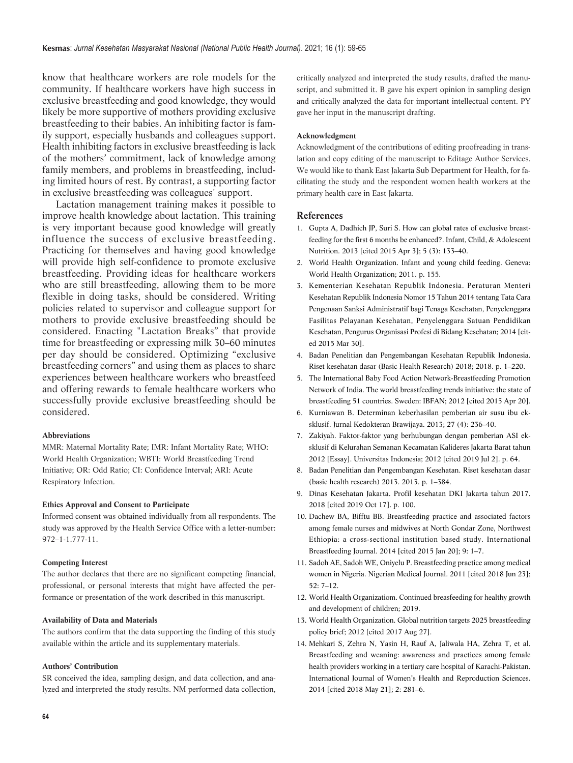<span id="page-5-0"></span>know that healthcare workers are role models for the community. If healthcare workers have high success in exclusive breastfeeding and good knowledge, they would likely be more supportive of mothers providing exclusive breastfeeding to their babies. An inhibiting factor is family support, especially husbands and colleagues support. Health inhibiting factors in exclusive breastfeeding is lack of the mothers' commitment, lack of knowledge among family members, and problems in breastfeeding, including limited hours of rest. By contrast, a supporting factor in exclusive breastfeeding was colleagues' support.

Lactation management training makes it possible to improve health knowledge about lactation. This training is very important because good knowledge will greatly influence the success of exclusive breastfeeding. Practicing for themselves and having good knowledge will provide high self-confidence to promote exclusive breastfeeding. Providing ideas for healthcare workers who are still breastfeeding, allowing them to be more flexible in doing tasks, should be considered. Writing policies related to supervisor and colleague support for mothers to provide exclusive breastfeeding should be considered. Enacting "Lactation Breaks" that provide time for breastfeeding or expressing milk 30–60 minutes per day should be considered. Optimizing "exclusive breastfeeding corners" and using them as places to share experiences between healthcare workers who breastfeed and offering rewards to female healthcare workers who successfully provide exclusive breastfeeding should be considered.

#### **Abbreviations**

MMR: Maternal Mortality Rate; IMR: Infant Mortality Rate; WHO: World Health Organization; WBTI: World Breastfeeding Trend Initiative; OR: Odd Ratio; CI: Confidence Interval; ARI: Acute Respiratory Infection.

#### **Ethics Approval and Consent to Participate**

Informed consent was obtained individually from all respondents. The study was approved by the Health Service Office with a letter-number: 972–1-1.777-11.

#### **Competing Interest**

The author declares that there are no significant competing financial, professional, or personal interests that might have affected the performance or presentation of the work described in this manuscript.

#### **Availability of Data and Materials**

The authors confirm that the data supporting the finding of this study available within the article and its supplementary materials.

#### **Authors' Contribution**

SR conceived the idea, sampling design, and data collection, and analyzed and interpreted the study results. NM performed data collection, critically analyzed and interpreted the study results, drafted the manuscript, and submitted it. B gave his expert opinion in sampling design and critically analyzed the data for important intellectual content. PY gave her input in the manuscript drafting.

#### **Acknowledgment**

Acknowledgment of the contributions of editing proofreading in translation and copy editing of the manuscript to Editage Author Services. We would like to thank East Jakarta Sub Department for Health, for facilitating the study and the respondent women health workers at the primary health care in East Jakarta.

#### **References**

- 1. [Gupta A, Dadhich JP, Suri S. How can global rates of exclusive breast](https://journals.sagepub.com/doi/pdf/10.1177/1941406413480389)[feeding for the first 6 months be enhanced?. Infant, Child, & Adolescent](https://journals.sagepub.com/doi/pdf/10.1177/1941406413480389) [Nutrition. 2013 \[cited 2015 Apr 3\]; 5 \(3\): 133–40.](https://journals.sagepub.com/doi/pdf/10.1177/1941406413480389)
- 2. [World Health Organization. Infant and young child feeding. Geneva:](http://whqlibdoc.who.int/publications/2009/9789241597494_eng.pdf) [World Health Organization; 2011. p. 155.](http://whqlibdoc.who.int/publications/2009/9789241597494_eng.pdf)
- 3. [Kementerian Kesehatan Republik Indonesia. Peraturan Menteri](http://www.hukor.depkes.go.id/uploads/produk_hukum/PMK No. 15 ttg Sanksi Penghambat ASI Eksklusif.pdf) [Kesehatan Republik Indonesia Nomor 15 Tahun 2014 tentang Tata Cara](http://www.hukor.depkes.go.id/uploads/produk_hukum/PMK No. 15 ttg Sanksi Penghambat ASI Eksklusif.pdf) [Pengenaan Sanksi Administratif bagi Tenaga Kesehatan, Penyelenggara](http://www.hukor.depkes.go.id/uploads/produk_hukum/PMK No. 15 ttg Sanksi Penghambat ASI Eksklusif.pdf) [Fasilitas Pelayanan Kesehatan, Penyelenggara Satuan Pendidikan](http://www.hukor.depkes.go.id/uploads/produk_hukum/PMK No. 15 ttg Sanksi Penghambat ASI Eksklusif.pdf) [Kesehatan, Pengurus Organisasi Profesi di Bidang Kesehatan; 2014 \[cit](http://www.hukor.depkes.go.id/uploads/produk_hukum/PMK No. 15 ttg Sanksi Penghambat ASI Eksklusif.pdf)[ed 2015 Mar 30\].](http://www.hukor.depkes.go.id/uploads/produk_hukum/PMK No. 15 ttg Sanksi Penghambat ASI Eksklusif.pdf)
- 4. Badan Penelitian dan Pengembangan Kesehatan Republik Indonesia. Riset kesehatan dasar (Basic Health Research) 2018; 2018. p. 1–220.
- 5. [The International Baby Food Action Network-Breastfeeding Promotion](https://bpni.org/report/51-country-report.pdf) [Network of India. The world breastfeeding trends initiative: the state of](https://bpni.org/report/51-country-report.pdf) [breastfeeding 51 countries. Sweden: IBFAN; 2012 \[cited 2015 Apr 20\].](https://bpni.org/report/51-country-report.pdf)
- 6. [Kurniawan B. Determinan keberhasilan pemberian air susu ibu ek](http://download.portalgaruda.org/article.php?article=81372&val=4387)[sklusif. Jurnal Kedokteran Brawijaya. 2013; 27 \(4\): 236–40.](http://download.portalgaruda.org/article.php?article=81372&val=4387)
- 7. [Zakiyah. Faktor-faktor yang berhubungan dengan pemberian ASI ek](http://lib.ui.ac.id/file?file=digital/20318352-S-Zakiyah.pdf)[sklusif di Kelurahan Semanan Kecamatan Kalideres Jakarta Barat tahun](http://lib.ui.ac.id/file?file=digital/20318352-S-Zakiyah.pdf) [2012 \[Essay\]. Universitas Indonesia; 2012 \[cited 2019 Jul 2\]. p. 64.](http://lib.ui.ac.id/file?file=digital/20318352-S-Zakiyah.pdf)
- 8. [Badan Penelitian dan Pengembangan Kesehatan. Riset kesehatan dasar](http://www.depkes.go.id/resources/download/general/Hasil Riskesdas 2013.pdf) [\(basic health research\) 2013. 2013. p. 1–384.](http://www.depkes.go.id/resources/download/general/Hasil Riskesdas 2013.pdf)
- 9. [Dinas Kesehatan Jakarta. Profil kesehatan DKI Jakarta tahun 2017.](https://dinkes.jakarta.go.id/wp-content/uploads/2019/12/Profil-Kesehatan-DKI-Jakarta-Tahun-2017.pdf) [2018 \[cited 2019 Oct 17\]. p. 100.](https://dinkes.jakarta.go.id/wp-content/uploads/2019/12/Profil-Kesehatan-DKI-Jakarta-Tahun-2017.pdf)
- 10. [Dachew BA, Bifftu BB. Breastfeeding practice and associated factors](https://www.ncbi.nlm.nih.gov/pmc/articles/PMC4107598/pdf/1746-4358-9-11.pdf) [among female nurses and midwives at North Gondar Zone, Northwest](https://www.ncbi.nlm.nih.gov/pmc/articles/PMC4107598/pdf/1746-4358-9-11.pdf) [Ethiopia: a cross-sectional institution based study. International](https://www.ncbi.nlm.nih.gov/pmc/articles/PMC4107598/pdf/1746-4358-9-11.pdf) [Breastfeeding Journal. 2014 \[cited 2015 Jan 20\]; 9: 1–7.](https://www.ncbi.nlm.nih.gov/pmc/articles/PMC4107598/pdf/1746-4358-9-11.pdf)
- 11. [Sadoh AE, Sadoh WE, Oniyelu P. Breastfeeding practice among medical](http://www.ncbi.nlm.nih.gov/pubmed/21968706%5Cnhttp://www.ncbi.nlm.nih.gov/pubmed/21968706) [women in Nigeria. Nigerian Medical Journal. 2011 \[cited 2018 Jun 23\];](http://www.ncbi.nlm.nih.gov/pubmed/21968706%5Cnhttp://www.ncbi.nlm.nih.gov/pubmed/21968706) [52: 7–12.](http://www.ncbi.nlm.nih.gov/pubmed/21968706%5Cnhttp://www.ncbi.nlm.nih.gov/pubmed/21968706)
- 12. World Health Organizatiom. Continued breasfeeding for healthy growth and development of children; 2019.
- 13. [World Health Organization. Global nutrition targets 2025 breastfeeding](https://apps.who.int/iris/bitstream/handle/10665/149022/WHO_NMH_NHD_14.7_eng.pdf) [policy brief; 2012 \[cited 2017 Aug 27\].](https://apps.who.int/iris/bitstream/handle/10665/149022/WHO_NMH_NHD_14.7_eng.pdf)
- 14. [Mehkari S, Zehra N, Yasin H, Rauf A, Jaliwala HA, Zehra T, et al.](https://pdfs.semanticscholar.org/e813/1cb9b4a0d5d7254572ae6d54a4c0cf593dd1.pdf) [Breastfeeding and weaning: awareness and practices among female](https://pdfs.semanticscholar.org/e813/1cb9b4a0d5d7254572ae6d54a4c0cf593dd1.pdf) [health providers working in a tertiary care hospital of Karachi-Pakistan.](https://pdfs.semanticscholar.org/e813/1cb9b4a0d5d7254572ae6d54a4c0cf593dd1.pdf) [International Journal of Women's Health and Reproduction Sciences.](https://pdfs.semanticscholar.org/e813/1cb9b4a0d5d7254572ae6d54a4c0cf593dd1.pdf) [2014 \[cited 2018 May 21\]; 2: 281–6.](https://pdfs.semanticscholar.org/e813/1cb9b4a0d5d7254572ae6d54a4c0cf593dd1.pdf)